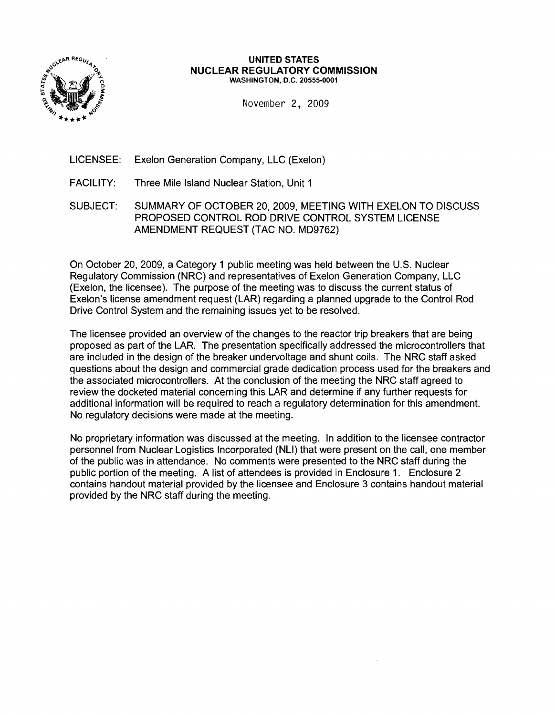

#### UNITED STATES NUCLEAR REGULATORY COMMISSION WASHINGTON, D.C. 20555-0001

November 2, 2009

- LICENSEE: Exelon Generation Company, LLC (Exelon)
- FACILITY: Three Mile Island Nuclear Station, Unit 1
- SUBJECT: SUMMARY OF OCTOBER 20, 2009, MEETING WITH EXELON TO DISCUSS PROPOSED CONTROL ROD DRIVE CONTROL SYSTEM LICENSE AMENDMENT REQUEST (TAC NO. MD9762)

On October 20, 2009, a Category 1 public meeting was held between the U.S. Nuclear Regulatory Commission (NRC) and representatives of Exelon Generation Company, LLC (Exelon, the licensee). The purpose of the meeting was to discuss the current status of Exelon's license amendment request (LAR) regarding a planned upgrade to the Control Rod Drive Control System and the remaining issues yet to be resolved.

The licensee provided an overview of the changes to the reactor trip breakers that are being proposed as part of the LAR. The presentation specifically addressed the microcontrollers that are included in the design of the breaker undervoltage and shunt coils. The NRC staff asked questions about the design and commercial grade dedication process used for the breakers and the associated microcontrollers. At the conclusion of the meeting the NRC staff agreed to review the docketed material concerning this LAR and determine if any further requests for additional information will be required to reach a regulatory determination for this amendment. No regulatory decisions were made at the meeting.

No proprietary information was discussed at the meeting. In addition to the licensee contractor personnel from Nuclear Logistics Incorporated (NLI) that were present on the call, one member of the public was in attendance. No comments were presented to the NRC staff during the public portion of the meeting. A list of attendees is provided in Enclosure 1. Enclosure 2 contains handout material provided by the licensee and Enclosure 3 contains handout material provided by the NRC staff during the meeting.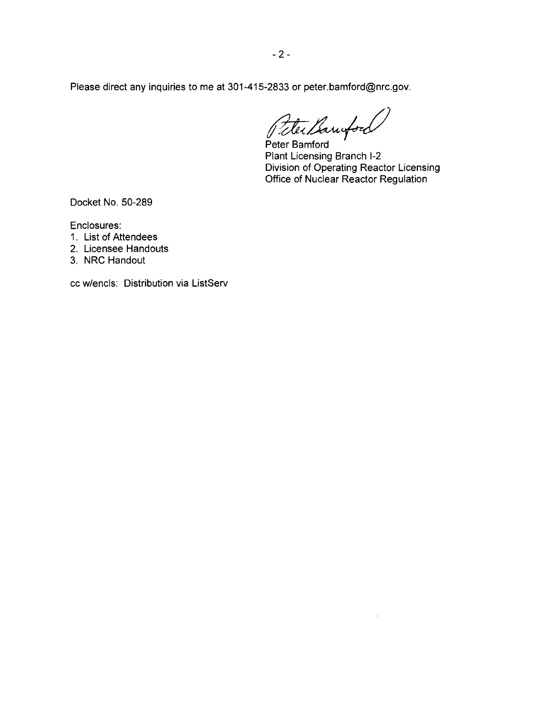Please direct any inquiries to me at 301-415-2833 or peter.bamford@nrc.gov.

Peter Bamford

Peter Bamford Plant Licensing Branch 1-2 Division of Operating Reactor Licensing Office of Nuclear Reactor Regulation

Docket No. 50-289

Enclosures:

- 1. List of Attendees
- 2. Licensee Handouts
- 3. NRC Handout

cc w/encls: Distribution via ListServ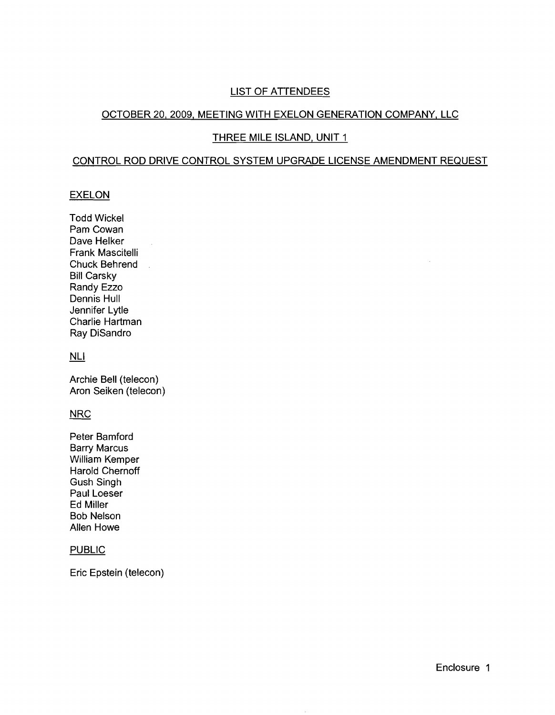### LIST OF ATTENDEES

#### OCTOBER 20,2009, MEETING WITH EXELON GENERATION COMPANY, LLC

#### THREE MILE ISLAND, UNIT 1

#### CONTROL ROD DRIVE CONTROL SYSTEM UPGRADE LICENSE AMENDMENT REQUEST

#### EXELON

**Todd Wickel** Pam Cowan Dave Helker Frank Mascitelli Chuck Behrend  $\mathbb{R}^2$ Bill Carsky Randy Ezzo Dennis Hull Jennifer Lytle Charlie Hartman Ray DiSandro

 $\hat{\mathcal{A}}$ 

### NLI

Archie Bell (telecon) Aron Seiken (telecon)

#### **NRC**

Peter Bamford Barry Marcus William Kemper Harold Chernoff Gush Singh Paul Loeser Ed Miller Bob Nelson Allen Howe

#### **PUBLIC**

Eric Epstein (telecon)

 $\mathcal{A}$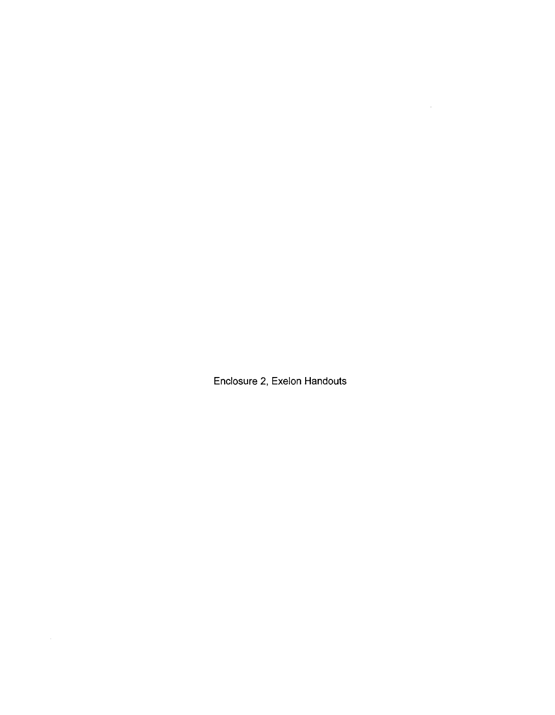**Enclosure 2, Exelon Handouts**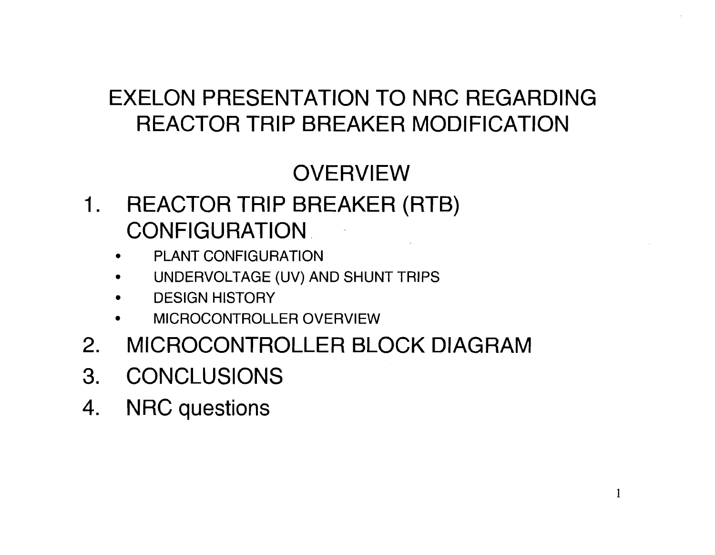### EXELON PRESENTATION TO NRC REGARDING REACTOR TRIP BREAKER MODIFICATION

### **OVERVIEW**

- 1. REACTOR TRIP BREAKER (RTB) **CONFIGURATION** 
	- **PLANT CONFIGURATION**
	- UNDERVOLTAGE (UV) AND SHUNT TRIPS
	- **DESIGN HISTORY**
	- **MICROCONTROLLER OVERVIEW**
- 2. MICROCONTROLLER BLOCK DIAGRAM
- 3. CONCLUSIONS
- 4. NRC questions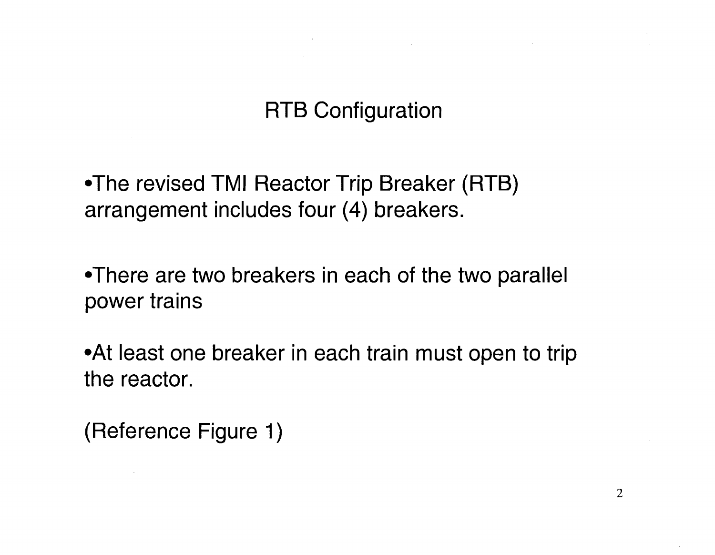$\mathcal{L}(\mathcal{L}(\mathcal{L}))$  and the contract of  $\mathcal{L}(\mathcal{L})$  . The contract of  $\mathcal{L}(\mathcal{L})$  is a set of  $\mathcal{L}(\mathcal{L})$ 

-The revised TMI Reactor Trip Breaker (RTB) arrangement includes four (4) breakers.

-There are two breakers in each of the two parallel power trains

• At least one breaker in each train must open to trip the reactor.

(Reference Figure 1)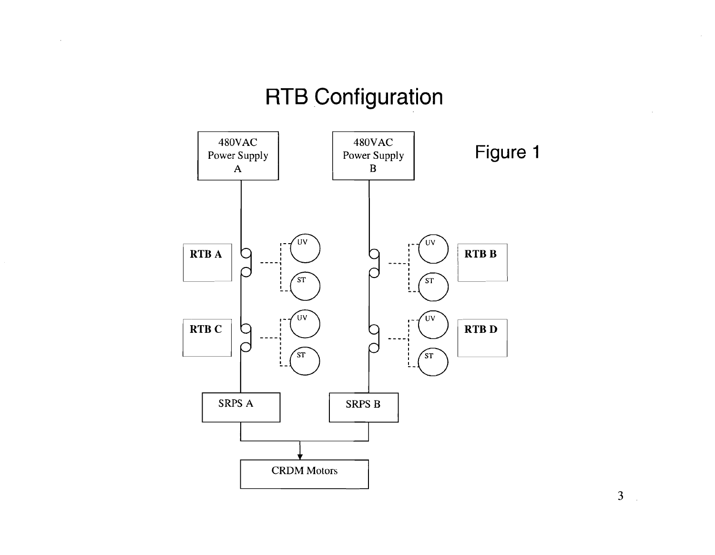$\sim$ 



3

 $\sim$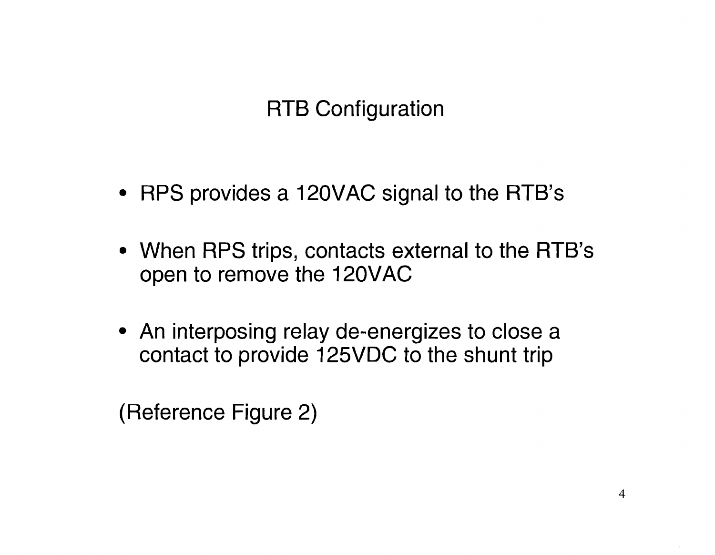- RPS provides a 120VAC signal to the RTB's
- When RPS trips, contacts external to the RTB's open to remove the 120VAC
- An interposing relay de-energizes to close a contact to provide 125VDC to the shunt trip

(Reference Figure 2)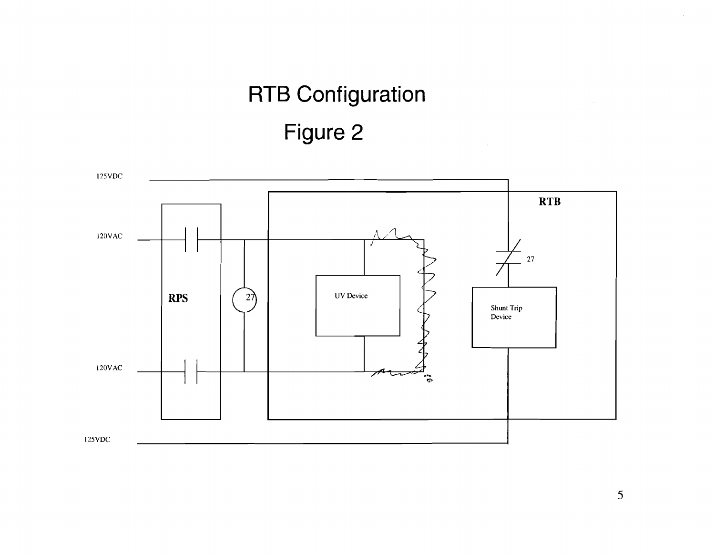## **RTB Configuration Figure 2**

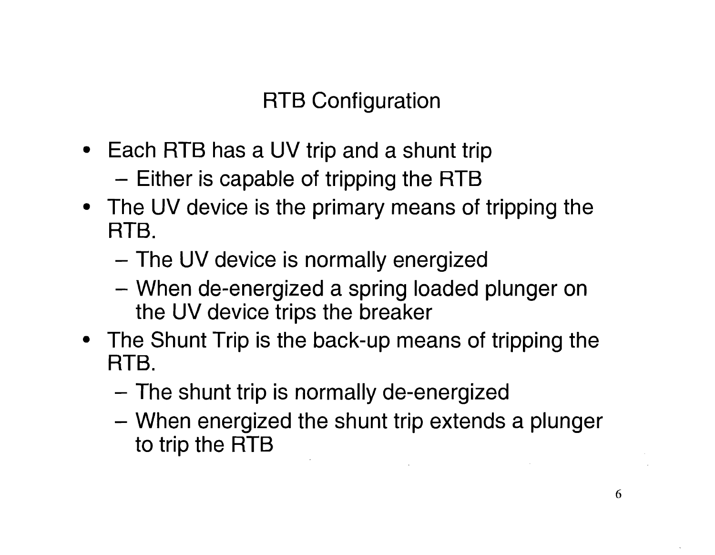- Each RTB has a UV trip and a shunt trip
	- Either is capable of tripping the RTB
- The UV device is the primary means of tripping the RTB.
	- The UV device is normally energized
	- When de-energized a spring loaded plunger on the UV device trips the breaker
- The Shunt Trip is the back-up means of tripping the RTB.
	- The shunt trip is normally de-energized
	- When energized the shunt trip extends a plunger to trip the RTB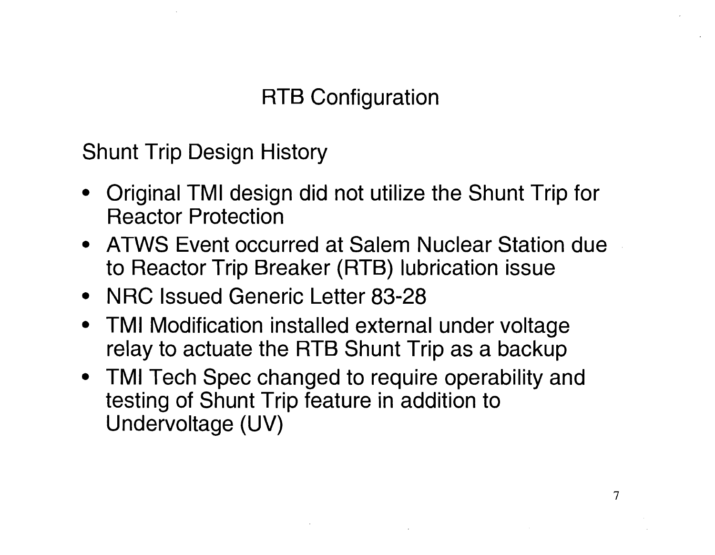Shunt Trip Design History

- Original TMI design did not utilize the Shunt Trip for Reactor Protection
- ATWS Event occurred at Salem Nuclear Station due to Reactor Trip Breaker (RTB) lubrication issue
- NRC Issued Generic Letter 83-28
- TMI Modification installed external under voltage relay to actuate the RTB Shunt Trip as a backup
- TMI Tech Spec changed to require operability and testing of Shunt Trip feature in addition to Undervoltage (UV)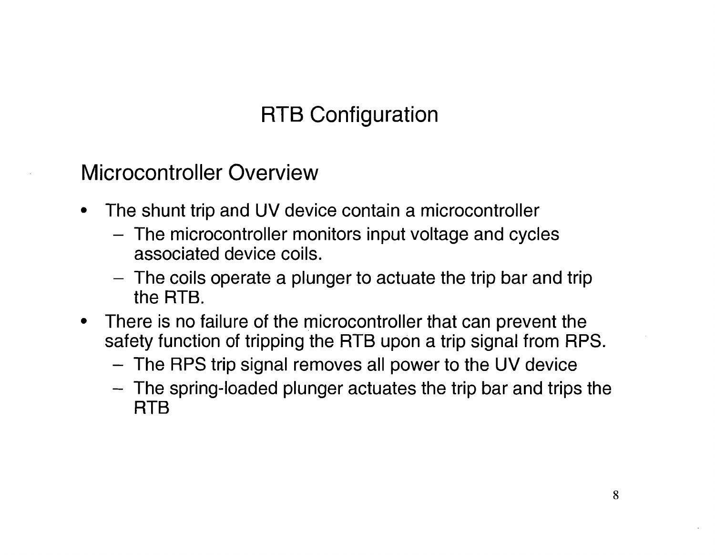Microcontroller Overview

- The shunt trip and UV device contain a microcontroller
	- The microcontroller monitors input voltage and cycles associated device coils.
	- $-$  The coils operate a plunger to actuate the trip bar and trip the RTB.
- There is no failure of the microcontroller that can prevent the safety function of tripping the RTB upon a trip signal from RPS.
	- The RPS trip signal removes all power to the UV device
	- The spring-loaded plunger actuates the trip bar and trips the RTB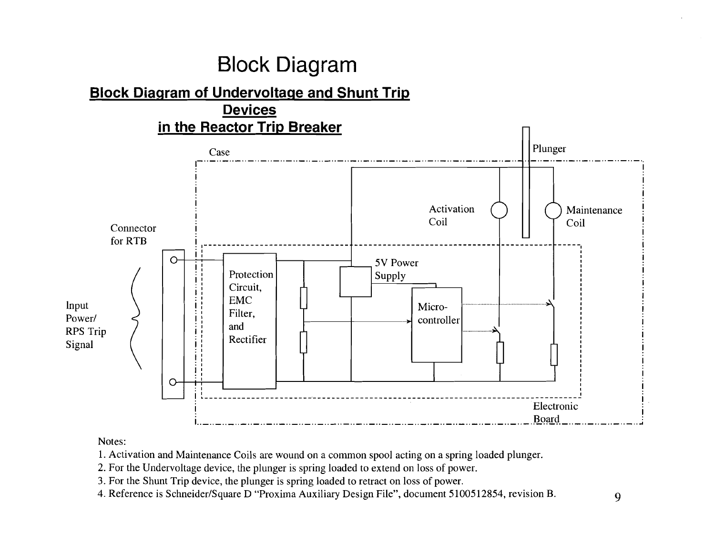### **Block Diagram**

#### **Block Diagram of Undervoltage and Shunt Trig, Devices \_.. \_.. \_.. \_.. \_.. \_.. in the Reactor Trip Breaker**  Case **1990 - 1990 - 1990 - 1990 - 1990 - 1990 - 1990 - 1990 - 1990 - 1990 - 1990 - 1990 - 1990 - 1990 - 1990 - 1990 - 1990 - 1990 - 1990 - 1990 - 1990 - 1990 - 1990 - 1990 - 1990 - 1990 - 1990 - 1990 - 1990 - 1990 - 1990 -**Activation Coil  $\Delta$ ..'I.  $\overline{\phantom{a}}$ 5V Power Supply Microcontroller r-- **Protection** Circuit,  $\left[\begin{array}{c} 1 \\ 1 \\ 1 \end{array}\right]$  $\begin{bmatrix} \vdots \\ \vdots \end{bmatrix}$  ,  $\begin{bmatrix} \overline{F} \\ \overline{F} \end{bmatrix}$ EMC Filter, and  $\begin{bmatrix} \cdot & \cdot & \cdot \\ \cdot & \cdot & \cdot \\ \cdot & \cdot & \cdot \end{bmatrix}$  Rectifier Maintenance Connector  $\begin{array}{c|c|c|c|c|c} \hline \text{Connector} & \text{if} & \text{if} & \text{if} & \text{if} & \text{if} & \text{if} & \text{if} & \text{if} & \text{if} & \text{if} & \text{if} & \text{if} & \text{if} & \text{if} & \text{if} & \text{if} & \text{if} & \text{if} & \text{if} & \text{if} & \text{if} & \text{if} & \text{if} & \text{if} & \text{if} & \text{if} & \text{if} & \text{if} & \text{if} & \text{if} & \text{if$ for RTB o Input<br>Power/ RPS Trip  $\begin{pmatrix} 1 & 1 \\ 1 & 1 \end{pmatrix}$ I L.. I • - - - - - - - - - - - - - - - - - - - - - - --- - - - - - - - - - - - - - - - - - - - - - - - - - - - - - - - - - - - - - - - - - - - - -Ei~~t~~nic i.. \_.. \_.. \_.. \_.. \_.. \_.. \_.. \_.. \_.. \_.. \_.. \_.. \_.. \_.. \_.. \_.. \_.. \_.. \_.. \_.. \_.. \_.. \_.. \_..\_.. \_.1iq~!Q.\_ ..\_ ..\_ ..\_ ..\_ ..\_ .....

### Notes:

1. Activation and Maintenance Coils are wound on a common spool acting on a spring loaded plunger.

2. For the Undervoltage device, the plunger is spring loaded to extend on loss of power.

3. For the Shunt Trip device, the plunger is spring loaded to retract on loss of power.

4. Reference is Schneider/Square D "Proxima Auxiliary Design File", document 5100512854, revision B. 9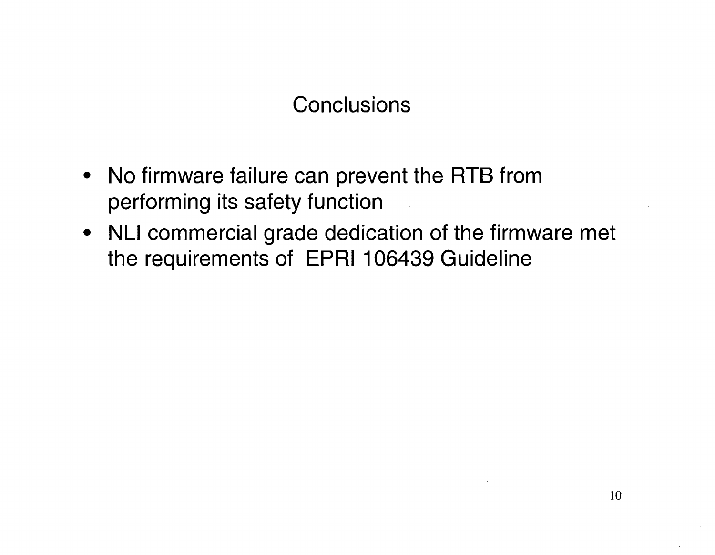### **Conclusions**

- No firmware failure can prevent the RTB from performing its safety function
- NLI commercial grade dedication of the firmware met the requirements of EPRI 106439 Guideline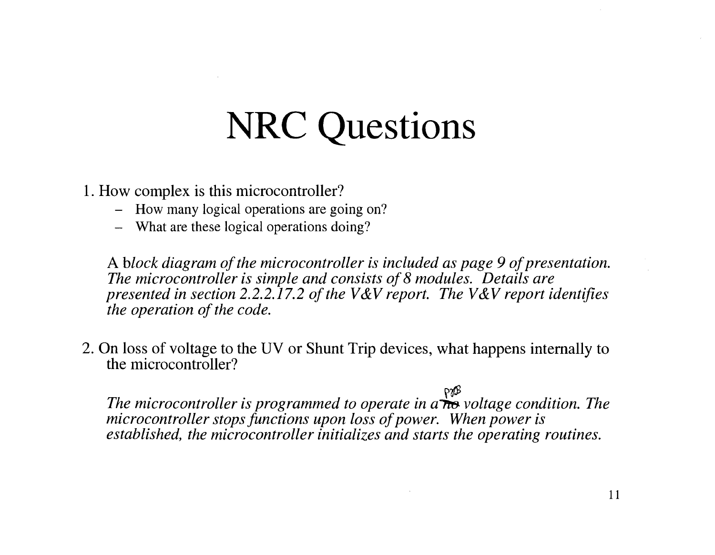- 1. How complex is this microcontroller?
	- How many logical operations are going on?
	- What are these logical operations doing?

A *block diagram of the microcontroller is included as page 9 of presentation. The microcontroller is simple and consists of*8 *modules. Details are presented in section 2.2.2.17.2 of the V&V report. The V&V report identifies the operation of the code.* 

2. On loss of voltage to the UV or Shunt Trip devices, what happens internally to the microcontroller?

*The microcontroller is programmed to operate in a*<sup>regge</sup> voltage condition. The *microcontroller stops functions upon loss of power. When power is established, the microcontroller initializes and starts the operating routines.*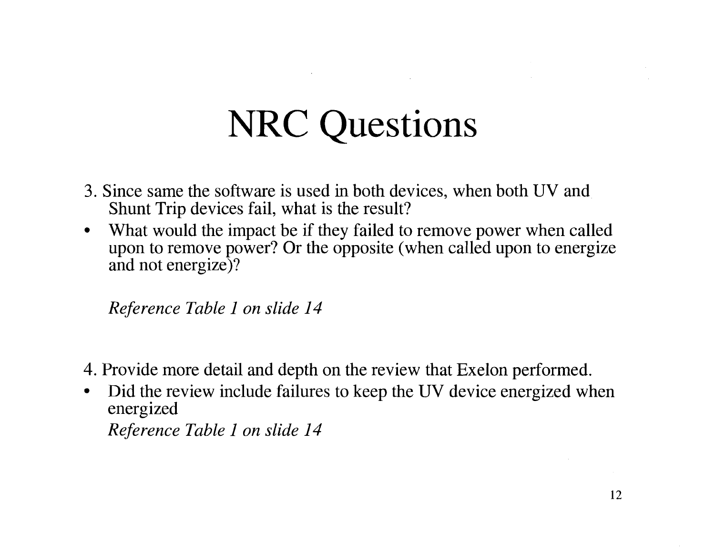- 3. Since same the software is used in both devices, when both UV and Shunt Trip devices fail, what is the result?
- What would the impact be if they failed to remove power when called upon to remove power? Or the opposite (when called upon to energize and not energize)?

*Reference Table* 1 *on slide 14* 

- 4. Provide more detail and depth on the review that Exelon performed.
- Did the review include failures to keep the UV device energized when energized *Reference Table* 1 *on slide 14*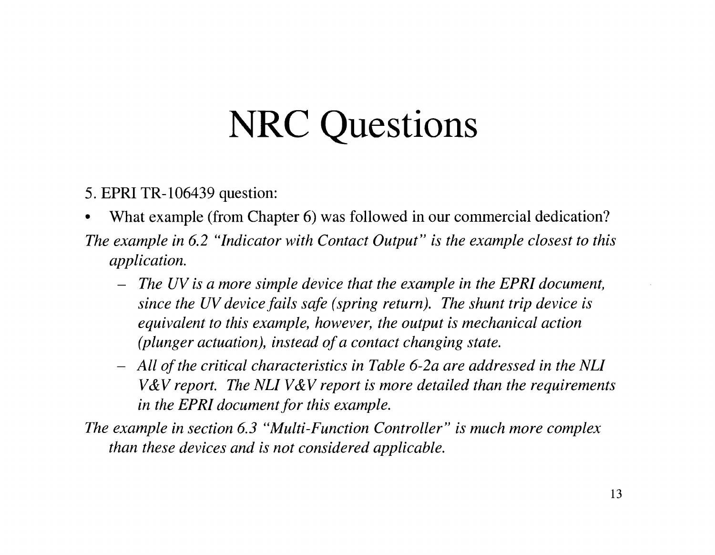5. EPRI TR-I06439 question:

- What example (from Chapter 6) was followed in our commercial dedication?
- *The example in* 6.2 *"Indicator with Contact Output" is the example closest to this application.* 
	- *The UV is a more simple device that the example in the EPRI document, since the UV device fails safe (spring return). The shunt trip device is equivalent to this example, however, the output is mechanical action (plunger actuation), instead ofa contact changing state.*
	- *- All ofthe critical characteristics in Table 6-2a are addressed in the NLI V*& *V report. The NLI V*& *V report is more detailed than the requirements in the EPRI document for this example.*

*The example in section* 6.3 *"Multi-Function Controller" is much more complex than these devices and is not considered applicable.*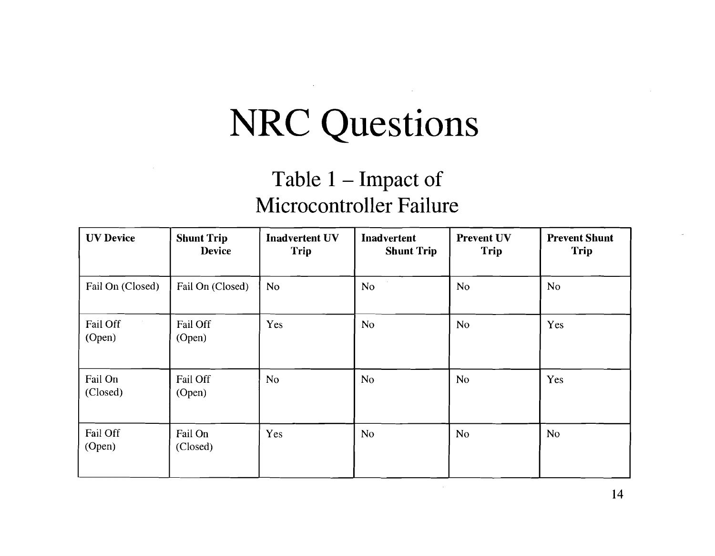### **Table 1 - Impact of Microcontroller Failure**

| <b>UV Device</b>    | <b>Shunt Trip</b><br><b>Device</b> | <b>Inadvertent UV</b><br>Trip | Inadvertent<br><b>Shunt Trip</b> | <b>Prevent UV</b><br>Trip | <b>Prevent Shunt</b><br>Trip |
|---------------------|------------------------------------|-------------------------------|----------------------------------|---------------------------|------------------------------|
| Fail On (Closed)    | Fail On (Closed)                   | N <sub>o</sub>                | <b>No</b>                        | N <sub>o</sub>            | <b>No</b>                    |
| Fail Off<br>(Open)  | Fail Off<br>(Open)                 | Yes                           | <b>No</b>                        | <b>No</b>                 | Yes                          |
| Fail On<br>(Closed) | Fail Off<br>(Open)                 | <b>No</b>                     | No                               | <b>No</b>                 | Yes                          |
| Fail Off<br>(Open)  | Fail On<br>(Closed)                | Yes                           | <b>No</b>                        | N <sub>o</sub>            | <b>No</b>                    |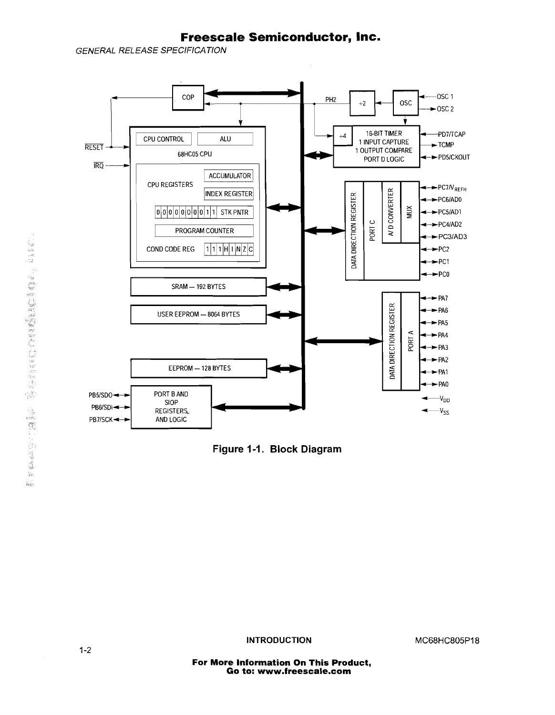### **Freescale Semiconductor, Inc.**

**GENERAL RELEASE SPECIFICATION** 



**Figure 1-1. Block Diagram** 

**INTRODUCTION MC68HC805P18**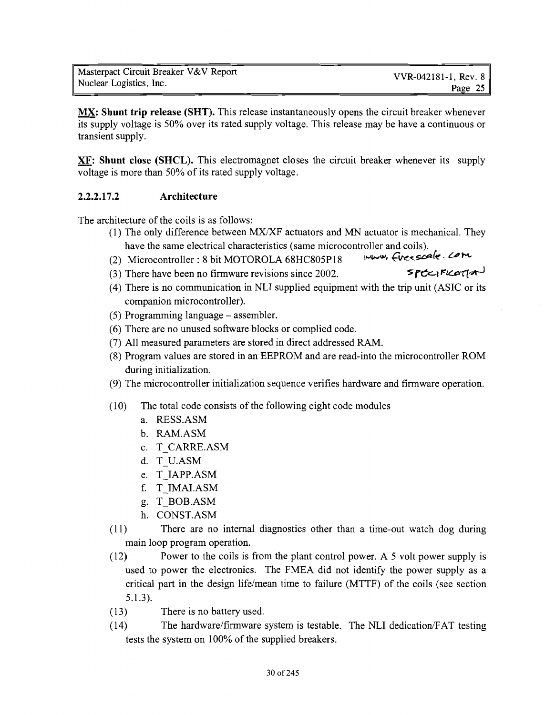**MX: Shunt trip release (SHT).** This release instantaneously opens the circuit breaker whenever its supply voltage is 50% over its rated supply voltage. This release may be have a continuous or transient supply.

**XF: Shunt close (SHCL).** This electromagnet closes the circuit breaker whenever its supply voltage is more than 50% of its rated supply voltage.

### **2.2.2.17.2 Architecture**

The architecture of the coils is as follows:

- (1) The only difference between MXIXF actuators and MN actuator is mechanical. They
- have the same electrical characteristics (same microcontroller and coils).<br>Microcontroller: 8 bit MOTOROLA 68HC805D18 (2) Microcontroller: 8 bit MOTOROLA 68HC805P18
- (3) There have been no firmware revisions since 2002. **SPEC:** $R\epsilon_1/\epsilon_2$
- (4) There is no communication in NLI supplied equipment with the trip unit (ASIC or its companion microcontroller).
- (5) Programming language assembler.
- (6) There are no unused software blocks or complied code.
- (7) All measured parameters are stored in direct addressed RAM.
- (8) Program values are stored in an EEPROM and are read-into the microcontroller ROM during initialization.
- (9) The microcontroller initialization sequence verifies hardware and firmware operation.
- (10) The total code consists of the following eight code modules
	- a. RESS.ASM
	- b. RAM.ASM
	- c. T CARRE.ASM
	- d. T U.ASM
	- e. T IAPP.ASM
	- f. T IMALASM
	- g. T BOB.ASM
	- h. CONST.ASM
- (11) There are no internal diagnostics other than a time-out watch dog during main loop program operation.
- (12) Power to the coils is from the plant control power. A 5 volt power supply is used to power the electronics. The FMEA did not identify the power supply as a critical part in the design life/mean time to failure (MTTF) of the coils (see section 5.1.3).
- (13) There is no battery used.
- (14) The hardware/firmware system is testable. The NLI dedication/FAT testing tests the system on 100% of the supplied breakers.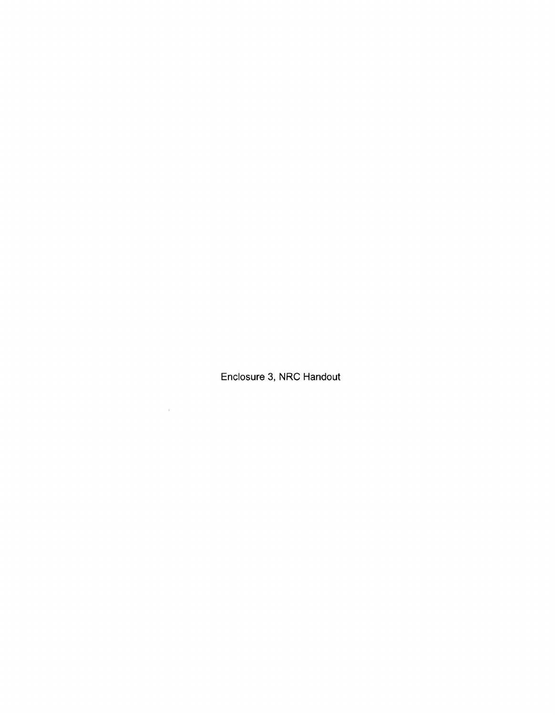**Enclosure 3, NRC Handout** 

 $\label{eq:3.1} \Phi_{\rm{max}} = \frac{1}{2} \sum_{i=1}^{N} \frac{1}{2} \sum_{i=1}^{N} \frac{1}{2} \sum_{i=1}^{N} \frac{1}{2} \sum_{i=1}^{N} \frac{1}{2} \sum_{i=1}^{N} \frac{1}{2} \sum_{i=1}^{N} \frac{1}{2} \sum_{i=1}^{N} \frac{1}{2} \sum_{i=1}^{N} \frac{1}{2} \sum_{i=1}^{N} \frac{1}{2} \sum_{i=1}^{N} \frac{1}{2} \sum_{i=1}^{N} \frac{1}{2} \sum_{i=1}^{$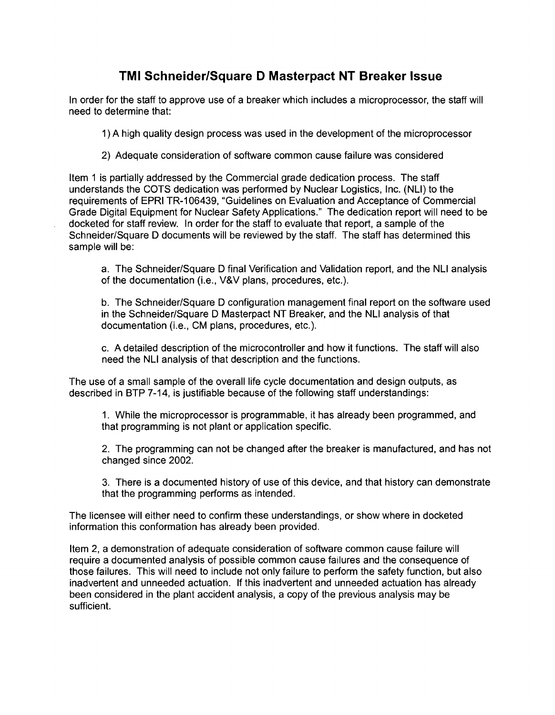### **TMI Schneider/Square D Masterpact NT Breaker Issue**

In order for the staff to approve use of a breaker which includes a microprocessor, the staff will need to determine that:

1) A high quality design process was used in the development of the microprocessor

2) Adequate consideration of software common cause failure was considered

Item 1 is partially addressed by the Commercial grade dedication process. The staff understands the COTS dedication was performed by Nuclear Logistics, Inc. (NLI) to the requirements of EPRI TR-106439, "Guidelines on Evaluation and Acceptance of Commercial Grade Digital Equipment for Nuclear Safety Applications." The dedication report will need to be docketed for staff review. In order for the staff to evaluate that report, a sample of the Schneider/Square D documents will be reviewed by the staff. The staff has determined this sample will be:

a. The Schneider/Square D final Verification and Validation report, and the NLI analysis of the documentation (i.e., V&V plans, procedures, etc.).

b. The Schneider/Square D configuration management final report on the software used in the Schneider/Square D Masterpact NT Breaker, and the NLI analysis of that documentation (i.e., CM plans, procedures, etc.).

c. A detailed description of the microcontroller and how it functions. The staff will also need the NLI analysis of that description and the functions.

The use of a small sample of the overall life cycle documentation and design outputs, as described in BTP 7-14, is justifiable because of the following staff understandings:

1. While the microprocessor is programmable, it has already been programmed, and that programming is not plant or application specific.

2. The programming can not be changed after the breaker is manufactured, and has not changed since 2002.

3. There is a documented history of use of this device, and that history can demonstrate that the programming performs as intended.

The licensee will either need to confirm these understandings, or show where in docketed information this conformation has already been provided.

Item 2, a demonstration of adequate consideration of software common cause failure will require a documented analysis of possible common cause failures and the consequence of those failures. This will need to include not only failure to perform the safety function, but also inadvertent and unneeded actuation. If this inadvertent and unneeded actuation has already been considered in the plant accident analysis, a copy of the previous analysis may be sufficient.